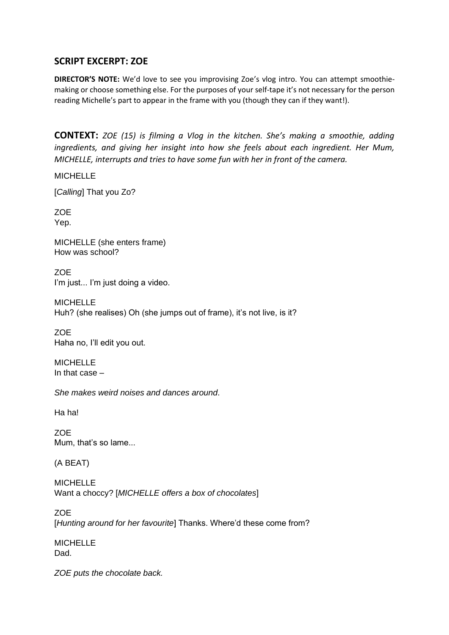## **SCRIPT EXCERPT: ZOE**

**DIRECTOR'S NOTE:** We'd love to see you improvising Zoe's vlog intro. You can attempt smoothiemaking or choose something else. For the purposes of your self-tape it's not necessary for the person reading Michelle's part to appear in the frame with you (though they can if they want!).

**CONTEXT:** *ZOE (15) is filming a Vlog in the kitchen. She's making a smoothie, adding ingredients, and giving her insight into how she feels about each ingredient. Her Mum, MICHELLE, interrupts and tries to have some fun with her in front of the camera.*

**MICHELLE** 

[*Calling*] That you Zo?

**ZOE** Yep.

MICHELLE (she enters frame) How was school?

**ZOE** I'm just... I'm just doing a video.

**MICHELLE** Huh? (she realises) Oh (she jumps out of frame), it's not live, is it?

**ZOE** Haha no, I'll edit you out.

**MICHELLE** In that case –

*She makes weird noises and dances around*.

Ha ha!

ZOE Mum, that's so lame...

(A BEAT)

**MICHELLE** Want a choccy? [*MICHELLE offers a box of chocolates*]

ZOE [*Hunting around for her favourite*] Thanks. Where'd these come from?

MICHELLE Dad.

*ZOE puts the chocolate back.*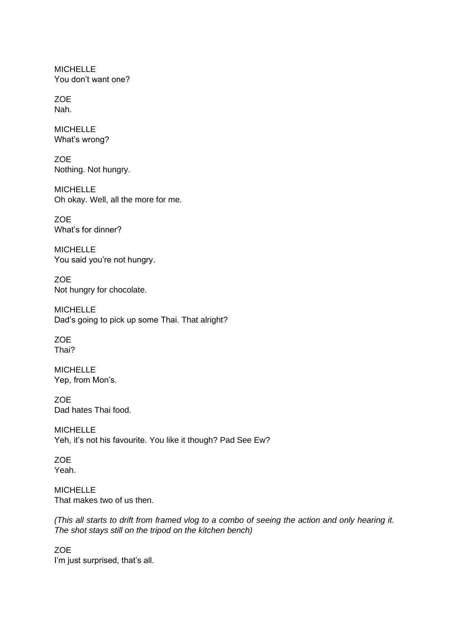MICHELLE You don't want one?

**ZOE** Nah.

MICHELLE What's wrong?

**ZOE** Nothing. Not hungry.

MICHELLE Oh okay. Well, all the more for me.

ZOE What's for dinner?

MICHELLE You said you're not hungry.

ZOE Not hungry for chocolate.

MICHELLE Dad's going to pick up some Thai. That alright?

**ZOE** Thai?

**MICHELLE** Yep, from Mon's.

ZOE Dad hates Thai food.

MICHELLE Yeh, it's not his favourite. You like it though? Pad See Ew?

ZOE Yeah.

MICHELLE That makes two of us then.

*(This all starts to drift from framed vlog to a combo of seeing the action and only hearing it. The shot stays still on the tripod on the kitchen bench)*

**ZOE** I'm just surprised, that's all.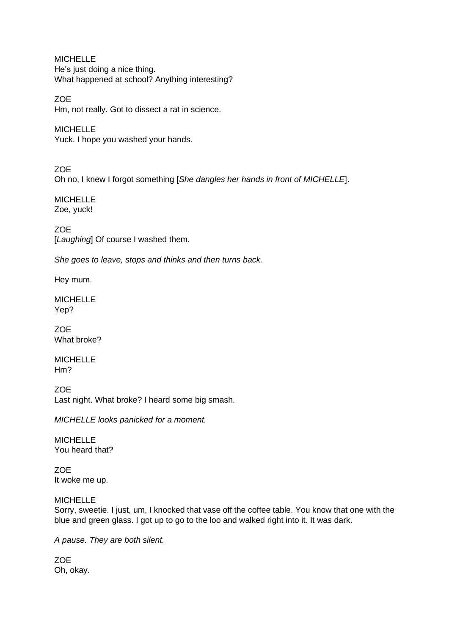MICHELLE He's just doing a nice thing. What happened at school? Anything interesting?

**ZOE** Hm, not really. Got to dissect a rat in science.

**MICHELLE** Yuck. I hope you washed your hands.

**ZOE** Oh no, I knew I forgot something [*She dangles her hands in front of MICHELLE*].

MICHELLE Zoe, yuck!

ZOE [Laughing] Of course I washed them.

*She goes to leave, stops and thinks and then turns back.*

Hey mum.

MICHELLE Yep?

ZOE What broke?

MICHELLE Hm?

ZOE Last night. What broke? I heard some big smash.

*MICHELLE looks panicked for a moment.*

**MICHELLE** You heard that?

**ZOE** It woke me up.

MICHELLE

Sorry, sweetie. I just, um, I knocked that vase off the coffee table. You know that one with the blue and green glass. I got up to go to the loo and walked right into it. It was dark.

*A pause. They are both silent.* 

ZOE Oh, okay.